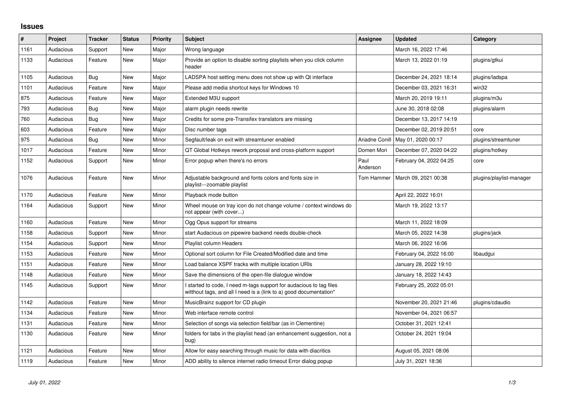## **Issues**

| #    | Project   | <b>Tracker</b> | <b>Status</b> | <b>Priority</b> | <b>Subject</b>                                                                                                                            | Assignee         | <b>Updated</b>                      | Category                 |
|------|-----------|----------------|---------------|-----------------|-------------------------------------------------------------------------------------------------------------------------------------------|------------------|-------------------------------------|--------------------------|
| 1161 | Audacious | Support        | New           | Major           | Wrong language                                                                                                                            |                  | March 16, 2022 17:46                |                          |
| 1133 | Audacious | Feature        | New           | Major           | Provide an option to disable sorting playlists when you click column<br>header                                                            |                  | March 13, 2022 01:19                | plugins/gtkui            |
| 1105 | Audacious | <b>Bug</b>     | <b>New</b>    | Major           | LADSPA host setting menu does not show up with Qt interface                                                                               |                  | December 24, 2021 18:14             | plugins/ladspa           |
| 1101 | Audacious | Feature        | New           | Major           | Please add media shortcut keys for Windows 10                                                                                             |                  | December 03, 2021 16:31             | win32                    |
| 875  | Audacious | Feature        | New           | Major           | Extended M3U support                                                                                                                      |                  | March 20, 2019 19:11                | plugins/m3u              |
| 793  | Audacious | <b>Bug</b>     | <b>New</b>    | Major           | alarm plugin needs rewrite                                                                                                                |                  | June 30, 2018 02:08                 | plugins/alarm            |
| 760  | Audacious | Bug            | New           | Major           | Credits for some pre-Transifex translators are missing                                                                                    |                  | December 13, 2017 14:19             |                          |
| 603  | Audacious | Feature        | <b>New</b>    | Major           | Disc number tags                                                                                                                          |                  | December 02, 2019 20:51             | core                     |
| 975  | Audacious | <b>Bug</b>     | New           | Minor           | Segfault/leak on exit with streamtuner enabled                                                                                            |                  | Ariadne Conill   May 01, 2020 00:17 | plugins/streamtuner      |
| 1017 | Audacious | Feature        | <b>New</b>    | Minor           | QT Global Hotkeys rework proposal and cross-platform support                                                                              | Domen Mori       | December 07, 2020 04:22             | plugins/hotkey           |
| 1152 | Audacious | Support        | New           | Minor           | Error popup when there's no errors                                                                                                        | Paul<br>Anderson | February 04, 2022 04:25             | core                     |
| 1076 | Audacious | Feature        | New           | Minor           | Adjustable background and fonts colors and fonts size in<br>playlist---zoomable playlist                                                  | Tom Hammer       | March 09, 2021 00:38                | plugins/playlist-manager |
| 1170 | Audacious | Feature        | New           | Minor           | Playback mode button                                                                                                                      |                  | April 22, 2022 16:01                |                          |
| 1164 | Audacious | Support        | New           | Minor           | Wheel mouse on tray icon do not change volume / context windows do<br>not appear (with cover)                                             |                  | March 19, 2022 13:17                |                          |
| 1160 | Audacious | Feature        | <b>New</b>    | Minor           | Ogg Opus support for streams                                                                                                              |                  | March 11, 2022 18:09                |                          |
| 1158 | Audacious | Support        | New           | Minor           | start Audacious on pipewire backend needs double-check                                                                                    |                  | March 05, 2022 14:38                | plugins/jack             |
| 1154 | Audacious | Support        | <b>New</b>    | Minor           | Playlist column Headers                                                                                                                   |                  | March 06, 2022 16:06                |                          |
| 1153 | Audacious | Feature        | <b>New</b>    | Minor           | Optional sort column for File Created/Modified date and time                                                                              |                  | February 04, 2022 16:00             | libaudgui                |
| 1151 | Audacious | Feature        | <b>New</b>    | Minor           | Load balance XSPF tracks with multiple location URIs                                                                                      |                  | January 28, 2022 19:10              |                          |
| 1148 | Audacious | Feature        | New           | Minor           | Save the dimensions of the open-file dialogue window                                                                                      |                  | January 18, 2022 14:43              |                          |
| 1145 | Audacious | Support        | New           | Minor           | I started to code, I need m-tags support for audacious to tag files<br>witthout tags, and all I need is a (link to a) good documentation* |                  | February 25, 2022 05:01             |                          |
| 1142 | Audacious | Feature        | <b>New</b>    | Minor           | MusicBrainz support for CD plugin                                                                                                         |                  | November 20, 2021 21:46             | plugins/cdaudio          |
| 1134 | Audacious | Feature        | New           | Minor           | Web interface remote control                                                                                                              |                  | November 04, 2021 06:57             |                          |
| 1131 | Audacious | Feature        | New           | Minor           | Selection of songs via selection field/bar (as in Clementine)                                                                             |                  | October 31, 2021 12:41              |                          |
| 1130 | Audacious | Feature        | New           | Minor           | folders for tabs in the playlist head (an enhancement suggestion, not a<br>bug)                                                           |                  | October 24, 2021 19:04              |                          |
| 1121 | Audacious | Feature        | New           | Minor           | Allow for easy searching through music for data with diacritics                                                                           |                  | August 05, 2021 08:06               |                          |
| 1119 | Audacious | Feature        | <b>New</b>    | Minor           | ADD ability to silence internet radio timeout Error dialog popup                                                                          |                  | July 31, 2021 18:36                 |                          |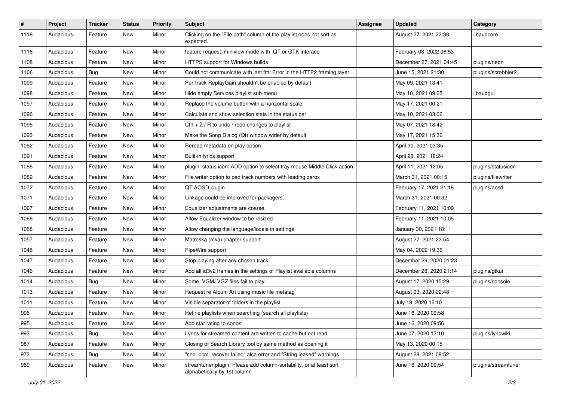| #    | Project   | Tracker    | <b>Status</b> | <b>Priority</b> | Subject                                                                                             | <b>Assignee</b> | <b>Updated</b>          | Category            |
|------|-----------|------------|---------------|-----------------|-----------------------------------------------------------------------------------------------------|-----------------|-------------------------|---------------------|
| 1118 | Audacious | Feature    | New           | Minor           | Clicking on the "File path" column of the playlist does not sort as<br>expected.                    |                 | August 27, 2021 22:38   | libaudcore          |
| 1116 | Audacious | Feature    | New           | Minor           | feature request: miniview mode with QT or GTK interace                                              |                 | February 08, 2022 06:53 |                     |
| 1108 | Audacious | Feature    | New           | Minor           | HTTPS support for Windows builds                                                                    |                 | December 27, 2021 04:45 | plugins/neon        |
| 1106 | Audacious | Bug        | New           | Minor           | Could not communicate with last.fm: Error in the HTTP2 framing layer.                               |                 | June 15, 2021 21:30     | plugins/scrobbler2  |
| 1099 | Audacious | Feature    | New           | Minor           | Per-track ReplayGain shouldn't be enabled by default                                                |                 | May 09, 2021 13:41      |                     |
| 1098 | Audacious | Feature    | New           | Minor           | Hide empty Services playlist sub-menu                                                               |                 | May 10, 2021 09:25      | libaudgui           |
| 1097 | Audacious | Feature    | New           | Minor           | Replace the volume button with a horizontal scale                                                   |                 | May 17, 2021 00:21      |                     |
| 1096 | Audacious | Feature    | New           | Minor           | Calculate and show selection stats in the status bar                                                |                 | May 10, 2021 03:06      |                     |
| 1095 | Audacious | Feature    | New           | Minor           | Ctrl + $Z$ / R to undo / redo changes to playlist                                                   |                 | May 07, 2021 18:42      |                     |
| 1093 | Audacious | Feature    | New           | Minor           | Make the Song Dialog (Qt) window wider by default                                                   |                 | May 17, 2021 15:36      |                     |
| 1092 | Audacious | Feature    | New           | Minor           | Reread metadata on play option                                                                      |                 | April 30, 2021 03:35    |                     |
| 1091 | Audacious | Feature    | New           | Minor           | Built-in lyrics support                                                                             |                 | April 28, 2021 18:24    |                     |
| 1088 | Audacious | Feature    | New           | Minor           | plugin: status icon: ADD option to select tray mouse Middle Click action                            |                 | April 11, 2021 12:05    | plugins/statusicon  |
| 1082 | Audacious | Feature    | New           | Minor           | File writer option to pad track numbers with leading zeros                                          |                 | March 31, 2021 00:15    | plugins/filewriter  |
| 1072 | Audacious | Feature    | New           | Minor           | QT AOSD plugin                                                                                      |                 | February 17, 2021 21:18 | plugins/aosd        |
| 1071 | Audacious | Feature    | New           | Minor           | Linkage could be improved for packagers.                                                            |                 | March 31, 2021 00:32    |                     |
| 1067 | Audacious | Feature    | New           | Minor           | Equalizer adjustments are coarse.                                                                   |                 | February 11, 2021 10:09 |                     |
| 1066 | Audacious | Feature    | New           | Minor           | Allow Equalizer window to be resized.                                                               |                 | February 11, 2021 10:05 |                     |
| 1058 | Audacious | Feature    | New           | Minor           | Allow changing the language/locale in settings                                                      |                 | January 30, 2021 18:11  |                     |
| 1057 | Audacious | Feature    | New           | Minor           | Matroska (mka) chapter support                                                                      |                 | August 27, 2021 22:54   |                     |
| 1048 | Audacious | Feature    | New           | Minor           | PipeWire support                                                                                    |                 | May 04, 2022 19:36      |                     |
| 1047 | Audacious | Feature    | New           | Minor           | Stop playing after any chosen track                                                                 |                 | December 29, 2020 01:23 |                     |
| 1046 | Audacious | Feature    | New           | Minor           | Add all id3v2 frames in the settings of Playlist available columns                                  |                 | December 28, 2020 21:14 | plugins/gtkui       |
| 1014 | Audacious | Bug        | New           | Minor           | Some .VGM/.VGZ files fail to play                                                                   |                 | August 17, 2020 15:29   | plugins/console     |
| 1013 | Audacious | Feature    | New           | Minor           | Request re Album Art using music file metatag                                                       |                 | August 03, 2020 22:48   |                     |
| 1011 | Audacious | Feature    | New           | Minor           | Visible separator of folders in the playlist                                                        |                 | July 18, 2020 16:10     |                     |
| 996  | Audacious | Feature    | New           | Minor           | Refine playlists when searching (search all playlists)                                              |                 | June 16, 2020 09:58     |                     |
| 995  | Audacious | Feature    | New           | Minor           | Add star rating to songs                                                                            |                 | June 16, 2020 09:56     |                     |
| 993  | Audacious | <b>Bug</b> | New           | Minor           | Lyrics for streamed content are written to cache but not read.                                      |                 | June 07, 2020 13:10     | plugins/lyricwiki   |
| 987  | Audacious | Feature    | New           | Minor           | Closing of Search Library tool by same method as opening it                                         |                 | May 13, 2020 00:15      |                     |
| 973  | Audacious | <b>Bug</b> | New           | Minor           | "snd pcm recover failed" alsa error and "String leaked" warnings                                    |                 | August 28, 2021 08:52   |                     |
| 969  | Audacious | Feature    | New           | Minor           | streamtuner plugin: Please add column-sortability, or at least sort<br>alphabetically by 1st column |                 | June 16, 2020 09:54     | plugins/streamtuner |